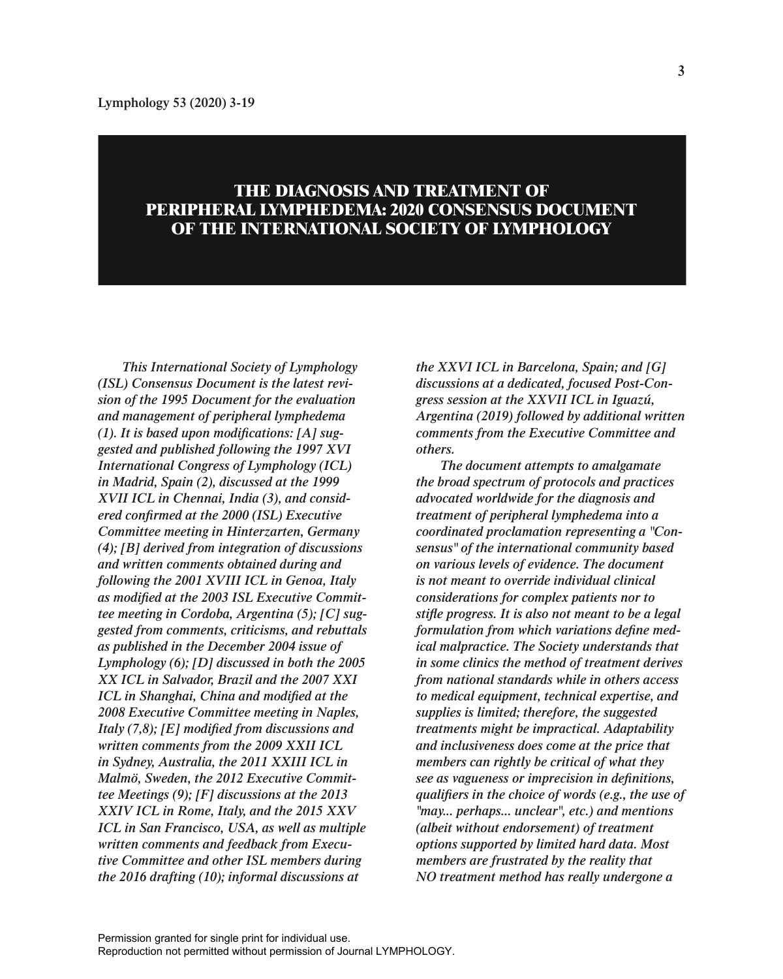# **THE DIAGNOSIS AND TREATMENT OF PERIPHERAL LYMPHEDEMA: 2020 CONSENSUS DOCUMENT OF THE INTERNATIONAL SOCIETY OF LYMPHOLOGY**

*This International Society of Lymphology (ISL) Consensus Document is the latest revision of the 1995 Document for the evaluation and management of peripheral lymphedema (1). It is based upon modifications: [A] suggested and published following the 1997 XVI International Congress of Lymphology (ICL) in Madrid, Spain (2), discussed at the 1999 XVII ICL in Chennai, India (3), and considered confirmed at the 2000 (ISL) Executive Committee meeting in Hinterzarten, Germany (4); [B] derived from integration of discussions and written comments obtained during and following the 2001 XVIII ICL in Genoa, Italy as modified at the 2003 ISL Executive Committee meeting in Cordoba, Argentina (5); [C] suggested from comments, criticisms, and rebuttals as published in the December 2004 issue of Lymphology (6); [D] discussed in both the 2005 XX ICL in Salvador, Brazil and the 2007 XXI ICL in Shanghai, China and modified at the 2008 Executive Committee meeting in Naples, Italy (7,8); [E] modified from discussions and written comments from the 2009 XXII ICL in Sydney, Australia, the 2011 XXIII ICL in Malmö, Sweden, the 2012 Executive Committee Meetings (9); [F] discussions at the 2013 XXIV ICL in Rome, Italy, and the 2015 XXV ICL in San Francisco, USA, as well as multiple written comments and feedback from Executive Committee and other ISL members during the 2016 drafting (10); informal discussions at* 

*the XXVI ICL in Barcelona, Spain; and [G] discussions at a dedicated, focused Post-Congress session at the XXVII ICL in Iguazú, Argentina (2019) followed by additional written comments from the Executive Committee and others.*

*The document attempts to amalgamate the broad spectrum of protocols and practices advocated worldwide for the diagnosis and treatment of peripheral lymphedema into a coordinated proclamation representing a "Consensus" of the international community based on various levels of evidence. The document is not meant to override individual clinical considerations for complex patients nor to stifle progress. It is also not meant to be a legal formulation from which variations define medical malpractice. The Society understands that in some clinics the method of treatment derives from national standards while in others access to medical equipment, technical expertise, and supplies is limited; therefore, the suggested treatments might be impractical. Adaptability and inclusiveness does come at the price that members can rightly be critical of what they see as vagueness or imprecision in definitions, qualifiers in the choice of words (e.g., the use of "may... perhaps... unclear", etc.) and mentions (albeit without endorsement) of treatment options supported by limited hard data. Most members are frustrated by the reality that NO treatment method has really undergone a*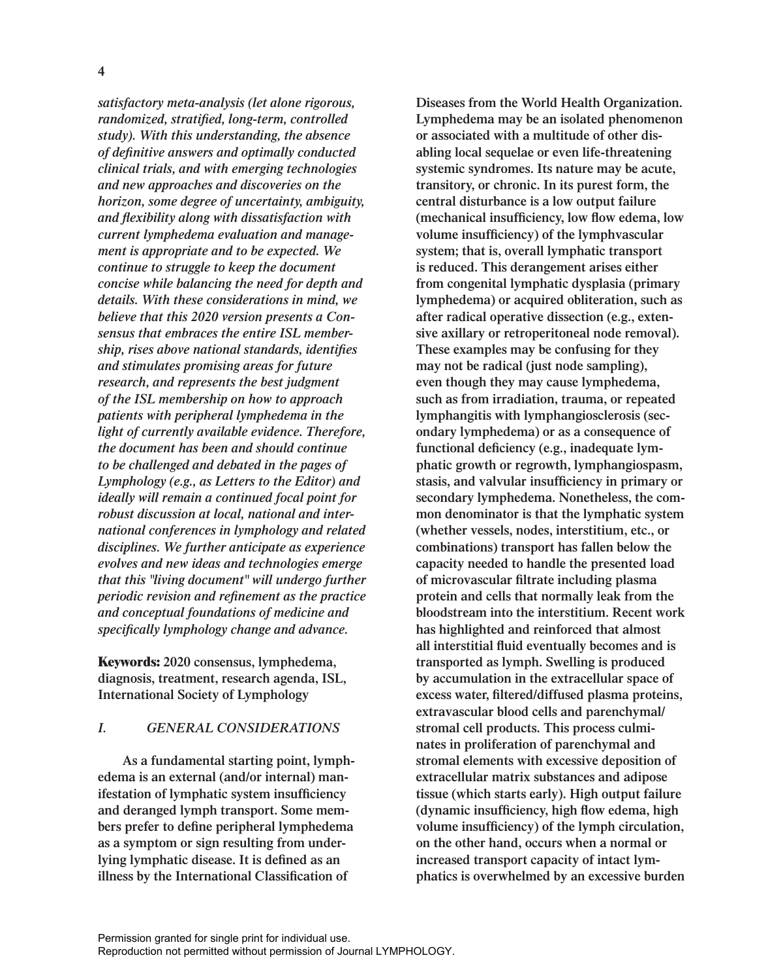*satisfactory meta-analysis (let alone rigorous, randomized, stratified, long-term, controlled study). With this understanding, the absence of definitive answers and optimally conducted clinical trials, and with emerging technologies and new approaches and discoveries on the horizon, some degree of uncertainty, ambiguity, and flexibility along with dissatisfaction with current lymphedema evaluation and management is appropriate and to be expected. We continue to struggle to keep the document concise while balancing the need for depth and details. With these considerations in mind, we believe that this 2020 version presents a Consensus that embraces the entire ISL membership, rises above national standards, identifies and stimulates promising areas for future research, and represents the best judgment of the ISL membership on how to approach patients with peripheral lymphedema in the light of currently available evidence. Therefore, the document has been and should continue to be challenged and debated in the pages of Lymphology (e.g., as Letters to the Editor) and ideally will remain a continued focal point for robust discussion at local, national and international conferences in lymphology and related disciplines. We further anticipate as experience evolves and new ideas and technologies emerge that this "living document" will undergo further periodic revision and refinement as the practice and conceptual foundations of medicine and specifically lymphology change and advance.*

**Keywords: 2020 consensus, lymphedema, diagnosis, treatment, research agenda, ISL, International Society of Lymphology**

# *I. GENERAL CONSIDERATIONS*

**As a fundamental starting point, lymphedema is an external (and/or internal) manifestation of lymphatic system insufficiency and deranged lymph transport. Some members prefer to define peripheral lymphedema as a symptom or sign resulting from underlying lymphatic disease. It is defined as an illness by the International Classification of** 

**Diseases from the World Health Organization. Lymphedema may be an isolated phenomenon or associated with a multitude of other disabling local sequelae or even life-threatening systemic syndromes. Its nature may be acute, transitory, or chronic. In its purest form, the central disturbance is a low output failure (mechanical insufficiency, low flow edema, low volume insufficiency) of the lymphvascular system; that is, overall lymphatic transport is reduced. This derangement arises either from congenital lymphatic dysplasia (primary lymphedema) or acquired obliteration, such as after radical operative dissection (e.g., extensive axillary or retroperitoneal node removal). These examples may be confusing for they may not be radical (just node sampling), even though they may cause lymphedema, such as from irradiation, trauma, or repeated lymphangitis with lymphangiosclerosis (secondary lymphedema) or as a consequence of functional deficiency (e.g., inadequate lymphatic growth or regrowth, lymphangiospasm, stasis, and valvular insufficiency in primary or secondary lymphedema. Nonetheless, the common denominator is that the lymphatic system (whether vessels, nodes, interstitium, etc., or combinations) transport has fallen below the capacity needed to handle the presented load of microvascular filtrate including plasma protein and cells that normally leak from the bloodstream into the interstitium. Recent work has highlighted and reinforced that almost all interstitial fluid eventually becomes and is transported as lymph. Swelling is produced by accumulation in the extracellular space of excess water, filtered/diffused plasma proteins, extravascular blood cells and parenchymal/ stromal cell products. This process culminates in proliferation of parenchymal and stromal elements with excessive deposition of extracellular matrix substances and adipose tissue (which starts early). High output failure (dynamic insufficiency, high flow edema, high volume insufficiency) of the lymph circulation, on the other hand, occurs when a normal or increased transport capacity of intact lymphatics is overwhelmed by an excessive burden**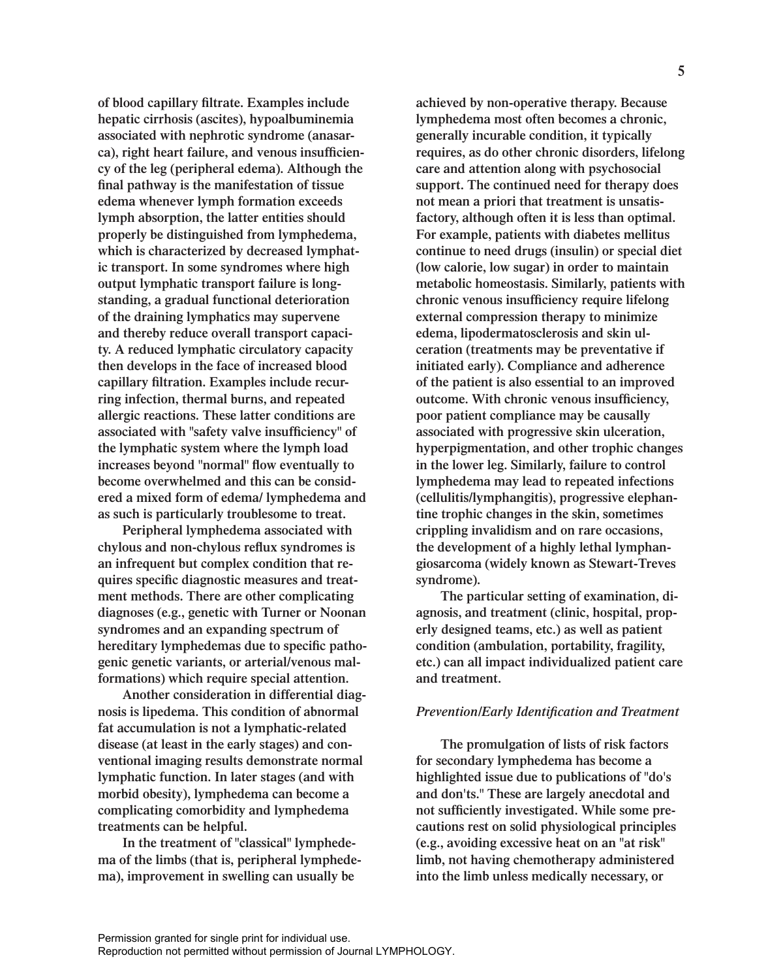**of blood capillary filtrate. Examples include hepatic cirrhosis (ascites), hypoalbuminemia associated with nephrotic syndrome (anasarca), right heart failure, and venous insufficiency of the leg (peripheral edema). Although the final pathway is the manifestation of tissue edema whenever lymph formation exceeds lymph absorption, the latter entities should properly be distinguished from lymphedema, which is characterized by decreased lymphatic transport. In some syndromes where high output lymphatic transport failure is longstanding, a gradual functional deterioration of the draining lymphatics may supervene and thereby reduce overall transport capacity. A reduced lymphatic circulatory capacity then develops in the face of increased blood capillary filtration. Examples include recurring infection, thermal burns, and repeated allergic reactions. These latter conditions are associated with "safety valve insufficiency" of the lymphatic system where the lymph load increases beyond "normal" flow eventually to become overwhelmed and this can be considered a mixed form of edema/ lymphedema and as such is particularly troublesome to treat.**

**Peripheral lymphedema associated with chylous and non-chylous reflux syndromes is an infrequent but complex condition that requires specific diagnostic measures and treatment methods. There are other complicating diagnoses (e.g., genetic with Turner or Noonan syndromes and an expanding spectrum of hereditary lymphedemas due to specific pathogenic genetic variants, or arterial/venous malformations) which require special attention.**

**Another consideration in differential diagnosis is lipedema. This condition of abnormal fat accumulation is not a lymphatic-related disease (at least in the early stages) and conventional imaging results demonstrate normal lymphatic function. In later stages (and with morbid obesity), lymphedema can become a complicating comorbidity and lymphedema treatments can be helpful.** 

**In the treatment of "classical" lymphedema of the limbs (that is, peripheral lymphedema), improvement in swelling can usually be** 

**achieved by non-operative therapy. Because lymphedema most often becomes a chronic, generally incurable condition, it typically requires, as do other chronic disorders, lifelong care and attention along with psychosocial support. The continued need for therapy does not mean a priori that treatment is unsatisfactory, although often it is less than optimal. For example, patients with diabetes mellitus continue to need drugs (insulin) or special diet (low calorie, low sugar) in order to maintain metabolic homeostasis. Similarly, patients with chronic venous insufficiency require lifelong external compression therapy to minimize edema, lipodermatosclerosis and skin ulceration (treatments may be preventative if initiated early). Compliance and adherence of the patient is also essential to an improved outcome. With chronic venous insufficiency, poor patient compliance may be causally associated with progressive skin ulceration, hyperpigmentation, and other trophic changes in the lower leg. Similarly, failure to control lymphedema may lead to repeated infections (cellulitis/lymphangitis), progressive elephantine trophic changes in the skin, sometimes crippling invalidism and on rare occasions, the development of a highly lethal lymphangiosarcoma (widely known as Stewart-Treves syndrome).**

**The particular setting of examination, diagnosis, and treatment (clinic, hospital, properly designed teams, etc.) as well as patient condition (ambulation, portability, fragility, etc.) can all impact individualized patient care and treatment.**

# *Prevention/Early Identification and Treatment*

**The promulgation of lists of risk factors for secondary lymphedema has become a highlighted issue due to publications of "do's and don'ts." These are largely anecdotal and not sufficiently investigated. While some precautions rest on solid physiological principles (e.g., avoiding excessive heat on an "at risk" limb, not having chemotherapy administered into the limb unless medically necessary, or**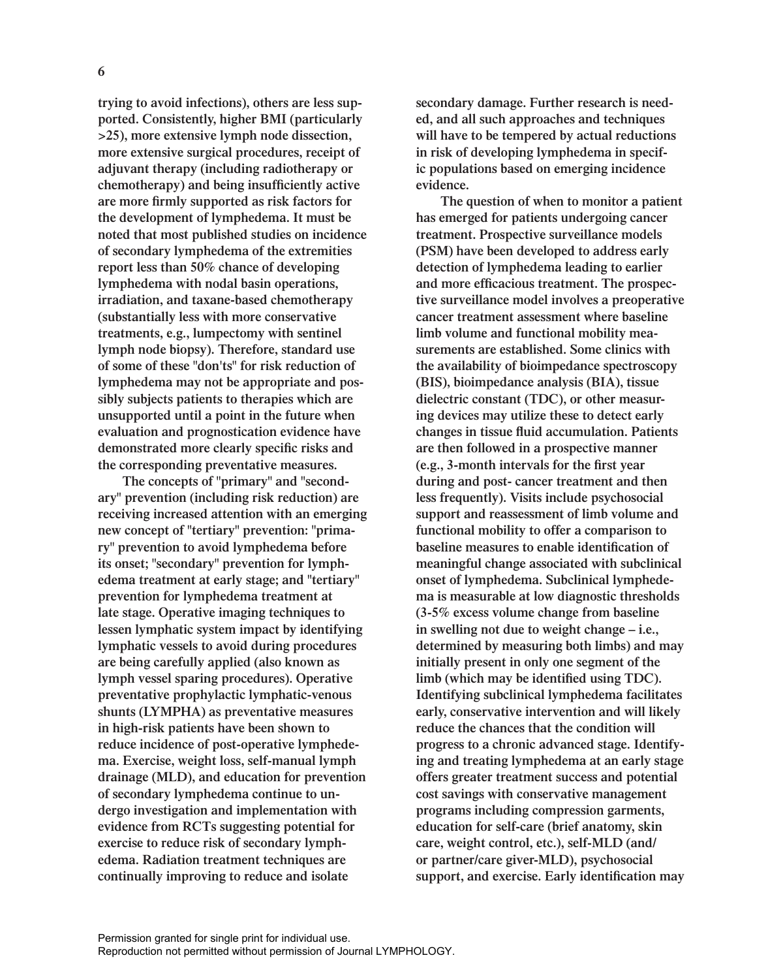**trying to avoid infections), others are less supported. Consistently, higher BMI (particularly >25), more extensive lymph node dissection, more extensive surgical procedures, receipt of adjuvant therapy (including radiotherapy or chemotherapy) and being insufficiently active are more firmly supported as risk factors for the development of lymphedema. It must be noted that most published studies on incidence of secondary lymphedema of the extremities report less than 50% chance of developing lymphedema with nodal basin operations, irradiation, and taxane-based chemotherapy (substantially less with more conservative treatments, e.g., lumpectomy with sentinel lymph node biopsy). Therefore, standard use of some of these "don'ts" for risk reduction of lymphedema may not be appropriate and possibly subjects patients to therapies which are unsupported until a point in the future when evaluation and prognostication evidence have demonstrated more clearly specific risks and the corresponding preventative measures.**

**The concepts of "primary" and "secondary" prevention (including risk reduction) are receiving increased attention with an emerging new concept of "tertiary" prevention: "primary" prevention to avoid lymphedema before its onset; "secondary" prevention for lymphedema treatment at early stage; and "tertiary" prevention for lymphedema treatment at late stage. Operative imaging techniques to lessen lymphatic system impact by identifying lymphatic vessels to avoid during procedures are being carefully applied (also known as lymph vessel sparing procedures). Operative preventative prophylactic lymphatic-venous shunts (LYMPHA) as preventative measures in high-risk patients have been shown to reduce incidence of post-operative lymphedema. Exercise, weight loss, self-manual lymph drainage (MLD), and education for prevention of secondary lymphedema continue to undergo investigation and implementation with evidence from RCTs suggesting potential for exercise to reduce risk of secondary lymphedema. Radiation treatment techniques are continually improving to reduce and isolate** 

**secondary damage. Further research is needed, and all such approaches and techniques will have to be tempered by actual reductions in risk of developing lymphedema in specific populations based on emerging incidence evidence.** 

**The question of when to monitor a patient has emerged for patients undergoing cancer treatment. Prospective surveillance models (PSM) have been developed to address early detection of lymphedema leading to earlier and more efficacious treatment. The prospective surveillance model involves a preoperative cancer treatment assessment where baseline limb volume and functional mobility measurements are established. Some clinics with the availability of bioimpedance spectroscopy (BIS), bioimpedance analysis (BIA), tissue dielectric constant (TDC), or other measuring devices may utilize these to detect early changes in tissue fluid accumulation. Patients are then followed in a prospective manner (e.g., 3-month intervals for the first year during and post- cancer treatment and then less frequently). Visits include psychosocial support and reassessment of limb volume and functional mobility to offer a comparison to baseline measures to enable identification of meaningful change associated with subclinical onset of lymphedema. Subclinical lymphedema is measurable at low diagnostic thresholds (3-5% excess volume change from baseline in swelling not due to weight change – i.e., determined by measuring both limbs) and may initially present in only one segment of the limb (which may be identified using TDC). Identifying subclinical lymphedema facilitates early, conservative intervention and will likely reduce the chances that the condition will progress to a chronic advanced stage. Identifying and treating lymphedema at an early stage offers greater treatment success and potential cost savings with conservative management programs including compression garments, education for self-care (brief anatomy, skin care, weight control, etc.), self-MLD (and/ or partner/care giver-MLD), psychosocial support, and exercise. Early identification may**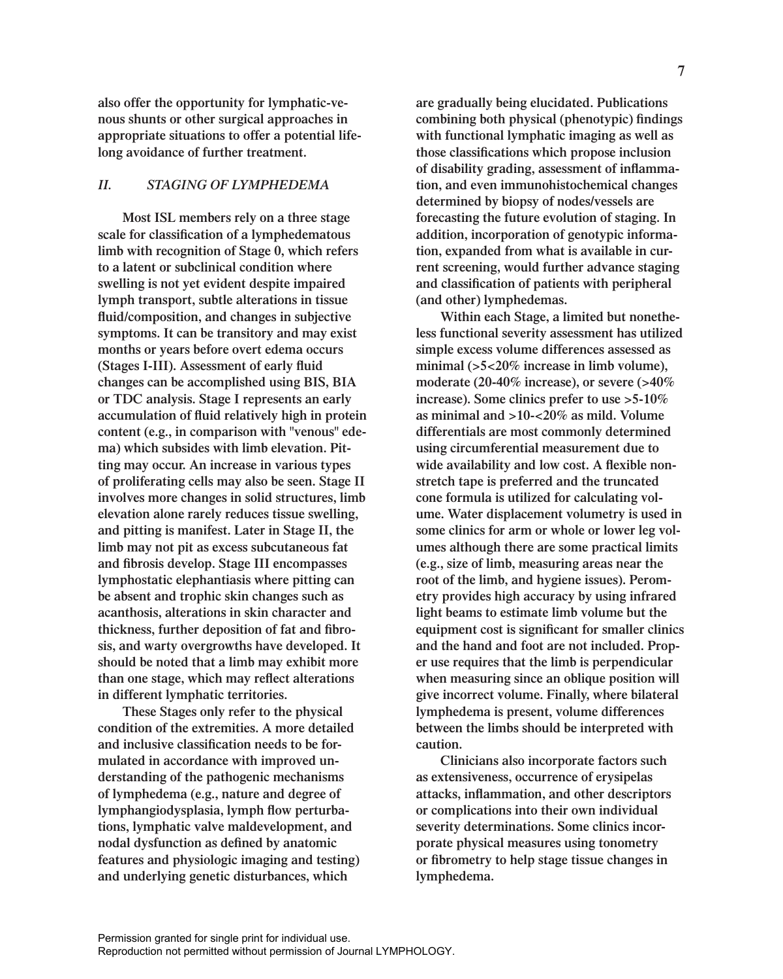**also offer the opportunity for lymphatic-venous shunts or other surgical approaches in appropriate situations to offer a potential lifelong avoidance of further treatment.**

# *II. STAGING OF LYMPHEDEMA*

**Most ISL members rely on a three stage scale for classification of a lymphedematous limb with recognition of Stage 0, which refers to a latent or subclinical condition where swelling is not yet evident despite impaired lymph transport, subtle alterations in tissue fluid/composition, and changes in subjective symptoms. It can be transitory and may exist months or years before overt edema occurs (Stages I-III). Assessment of early fluid changes can be accomplished using BIS, BIA or TDC analysis. Stage I represents an early accumulation of fluid relatively high in protein content (e.g., in comparison with "venous" edema) which subsides with limb elevation. Pitting may occur. An increase in various types of proliferating cells may also be seen. Stage II involves more changes in solid structures, limb elevation alone rarely reduces tissue swelling, and pitting is manifest. Later in Stage II, the limb may not pit as excess subcutaneous fat and fibrosis develop. Stage III encompasses lymphostatic elephantiasis where pitting can be absent and trophic skin changes such as acanthosis, alterations in skin character and thickness, further deposition of fat and fibrosis, and warty overgrowths have developed. It should be noted that a limb may exhibit more than one stage, which may reflect alterations in different lymphatic territories.**

**These Stages only refer to the physical condition of the extremities. A more detailed and inclusive classification needs to be formulated in accordance with improved understanding of the pathogenic mechanisms of lymphedema (e.g., nature and degree of lymphangiodysplasia, lymph flow perturbations, lymphatic valve maldevelopment, and nodal dysfunction as defined by anatomic features and physiologic imaging and testing) and underlying genetic disturbances, which** 

**are gradually being elucidated. Publications combining both physical (phenotypic) findings with functional lymphatic imaging as well as those classifications which propose inclusion of disability grading, assessment of inflammation, and even immunohistochemical changes determined by biopsy of nodes/vessels are forecasting the future evolution of staging. In addition, incorporation of genotypic information, expanded from what is available in current screening, would further advance staging and classification of patients with peripheral (and other) lymphedemas.** 

**Within each Stage, a limited but nonetheless functional severity assessment has utilized simple excess volume differences assessed as minimal (>5<20% increase in limb volume), moderate (20-40% increase), or severe (>40% increase). Some clinics prefer to use >5-10% as minimal and >10-<20% as mild. Volume differentials are most commonly determined using circumferential measurement due to wide availability and low cost. A flexible nonstretch tape is preferred and the truncated cone formula is utilized for calculating volume. Water displacement volumetry is used in some clinics for arm or whole or lower leg volumes although there are some practical limits (e.g., size of limb, measuring areas near the root of the limb, and hygiene issues). Perometry provides high accuracy by using infrared light beams to estimate limb volume but the equipment cost is significant for smaller clinics and the hand and foot are not included. Proper use requires that the limb is perpendicular when measuring since an oblique position will give incorrect volume. Finally, where bilateral lymphedema is present, volume differences between the limbs should be interpreted with caution.**

**Clinicians also incorporate factors such as extensiveness, occurrence of erysipelas attacks, inflammation, and other descriptors or complications into their own individual severity determinations. Some clinics incorporate physical measures using tonometry or fibrometry to help stage tissue changes in lymphedema.**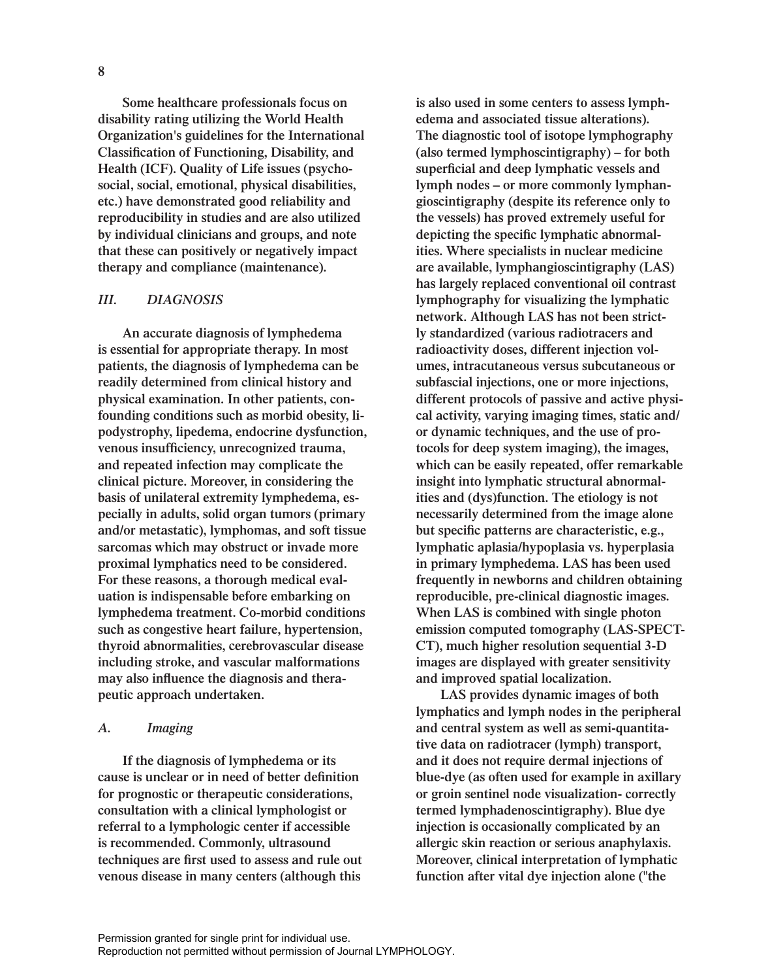**Some healthcare professionals focus on disability rating utilizing the World Health Organization's guidelines for the International Classification of Functioning, Disability, and Health (ICF). Quality of Life issues (psychosocial, social, emotional, physical disabilities, etc.) have demonstrated good reliability and reproducibility in studies and are also utilized by individual clinicians and groups, and note that these can positively or negatively impact therapy and compliance (maintenance).** 

# *III. DIAGNOSIS*

**An accurate diagnosis of lymphedema is essential for appropriate therapy. In most patients, the diagnosis of lymphedema can be readily determined from clinical history and physical examination. In other patients, confounding conditions such as morbid obesity, lipodystrophy, lipedema, endocrine dysfunction, venous insufficiency, unrecognized trauma, and repeated infection may complicate the clinical picture. Moreover, in considering the basis of unilateral extremity lymphedema, especially in adults, solid organ tumors (primary and/or metastatic), lymphomas, and soft tissue sarcomas which may obstruct or invade more proximal lymphatics need to be considered. For these reasons, a thorough medical evaluation is indispensable before embarking on lymphedema treatment. Co-morbid conditions such as congestive heart failure, hypertension, thyroid abnormalities, cerebrovascular disease including stroke, and vascular malformations may also influence the diagnosis and therapeutic approach undertaken.** 

# *A. Imaging*

**If the diagnosis of lymphedema or its cause is unclear or in need of better definition for prognostic or therapeutic considerations, consultation with a clinical lymphologist or referral to a lymphologic center if accessible is recommended. Commonly, ultrasound techniques are first used to assess and rule out venous disease in many centers (although this** 

**is also used in some centers to assess lymphedema and associated tissue alterations). The diagnostic tool of isotope lymphography (also termed lymphoscintigraphy) – for both superficial and deep lymphatic vessels and lymph nodes – or more commonly lymphangioscintigraphy (despite its reference only to the vessels) has proved extremely useful for depicting the specific lymphatic abnormalities. Where specialists in nuclear medicine are available, lymphangioscintigraphy (LAS) has largely replaced conventional oil contrast lymphography for visualizing the lymphatic network. Although LAS has not been strictly standardized (various radiotracers and radioactivity doses, different injection volumes, intracutaneous versus subcutaneous or subfascial injections, one or more injections, different protocols of passive and active physical activity, varying imaging times, static and/ or dynamic techniques, and the use of protocols for deep system imaging), the images, which can be easily repeated, offer remarkable insight into lymphatic structural abnormalities and (dys)function. The etiology is not necessarily determined from the image alone but specific patterns are characteristic, e.g., lymphatic aplasia/hypoplasia vs. hyperplasia in primary lymphedema. LAS has been used frequently in newborns and children obtaining reproducible, pre-clinical diagnostic images. When LAS is combined with single photon emission computed tomography (LAS-SPECT-CT), much higher resolution sequential 3-D images are displayed with greater sensitivity and improved spatial localization.**

**LAS provides dynamic images of both lymphatics and lymph nodes in the peripheral and central system as well as semi-quantitative data on radiotracer (lymph) transport, and it does not require dermal injections of blue-dye (as often used for example in axillary or groin sentinel node visualization- correctly termed lymphadenoscintigraphy). Blue dye injection is occasionally complicated by an allergic skin reaction or serious anaphylaxis. Moreover, clinical interpretation of lymphatic function after vital dye injection alone ("the**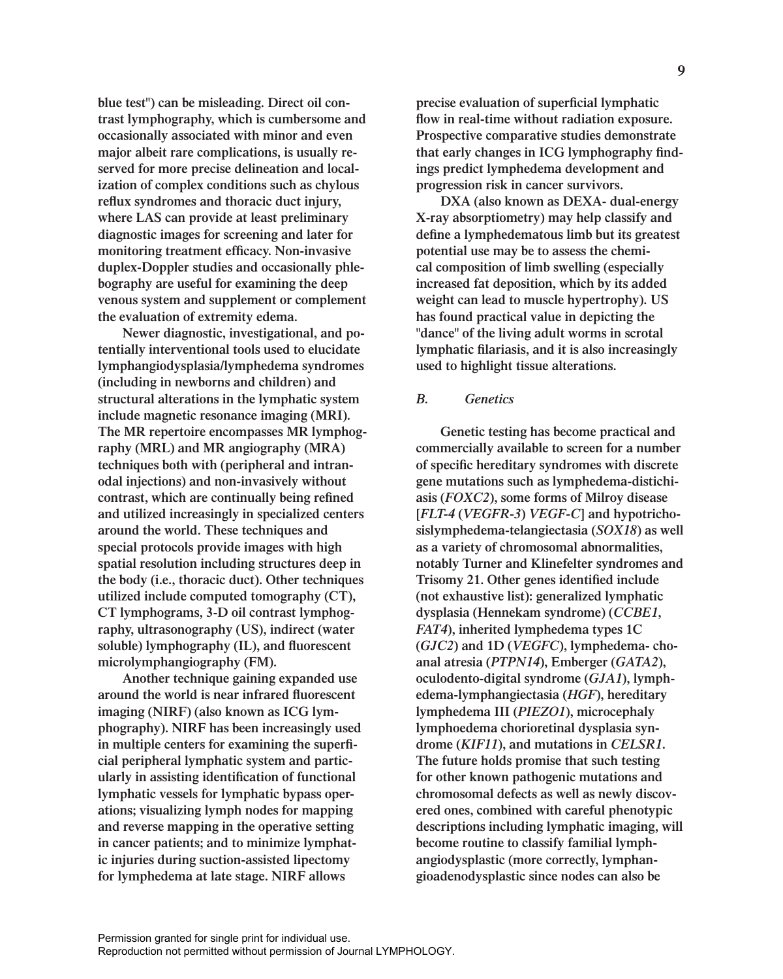**blue test") can be misleading. Direct oil contrast lymphography, which is cumbersome and occasionally associated with minor and even major albeit rare complications, is usually reserved for more precise delineation and localization of complex conditions such as chylous reflux syndromes and thoracic duct injury, where LAS can provide at least preliminary diagnostic images for screening and later for monitoring treatment efficacy. Non-invasive duplex-Doppler studies and occasionally phlebography are useful for examining the deep venous system and supplement or complement the evaluation of extremity edema.**

**Newer diagnostic, investigational, and potentially interventional tools used to elucidate lymphangiodysplasia/lymphedema syndromes (including in newborns and children) and structural alterations in the lymphatic system include magnetic resonance imaging (MRI). The MR repertoire encompasses MR lymphography (MRL) and MR angiography (MRA) techniques both with (peripheral and intranodal injections) and non-invasively without contrast, which are continually being refined and utilized increasingly in specialized centers around the world. These techniques and special protocols provide images with high spatial resolution including structures deep in the body (i.e., thoracic duct). Other techniques utilized include computed tomography (CT), CT lymphograms, 3-D oil contrast lymphography, ultrasonography (US), indirect (water soluble) lymphography (IL), and fluorescent microlymphangiography (FM).**

**Another technique gaining expanded use around the world is near infrared fluorescent imaging (NIRF) (also known as ICG lymphography). NIRF has been increasingly used in multiple centers for examining the superficial peripheral lymphatic system and particularly in assisting identification of functional lymphatic vessels for lymphatic bypass operations; visualizing lymph nodes for mapping and reverse mapping in the operative setting in cancer patients; and to minimize lymphatic injuries during suction-assisted lipectomy for lymphedema at late stage. NIRF allows** 

**precise evaluation of superficial lymphatic flow in real-time without radiation exposure. Prospective comparative studies demonstrate that early changes in ICG lymphography findings predict lymphedema development and progression risk in cancer survivors.** 

**DXA (also known as DEXA- dual-energy X-ray absorptiometry) may help classify and define a lymphedematous limb but its greatest potential use may be to assess the chemical composition of limb swelling (especially increased fat deposition, which by its added weight can lead to muscle hypertrophy). US has found practical value in depicting the "dance" of the living adult worms in scrotal lymphatic filariasis, and it is also increasingly used to highlight tissue alterations.**

### *B. Genetics*

**Genetic testing has become practical and commercially available to screen for a number of specific hereditary syndromes with discrete gene mutations such as lymphedema-distichiasis (***FOXC2***), some forms of Milroy disease [***FLT-4* **(***VEGFR-3***)** *VEGF-C***] and hypotrichosislymphedema-telangiectasia (***SOX18***) as well as a variety of chromosomal abnormalities, notably Turner and Klinefelter syndromes and Trisomy 21. Other genes identified include (not exhaustive list): generalized lymphatic dysplasia (Hennekam syndrome) (***CCBE1***,** *FAT4***), inherited lymphedema types 1C (***GJC2***) and 1D (***VEGFC***), lymphedema- choanal atresia (***PTPN14***), Emberger (***GATA2***), oculodento-digital syndrome (***GJA1***), lymphedema-lymphangiectasia (***HGF***), hereditary lymphedema III (***PIEZO1***), microcephaly lymphoedema chorioretinal dysplasia syndrome (***KIF11***), and mutations in** *CELSR1***. The future holds promise that such testing for other known pathogenic mutations and chromosomal defects as well as newly discovered ones, combined with careful phenotypic descriptions including lymphatic imaging, will become routine to classify familial lymphangiodysplastic (more correctly, lymphangioadenodysplastic since nodes can also be**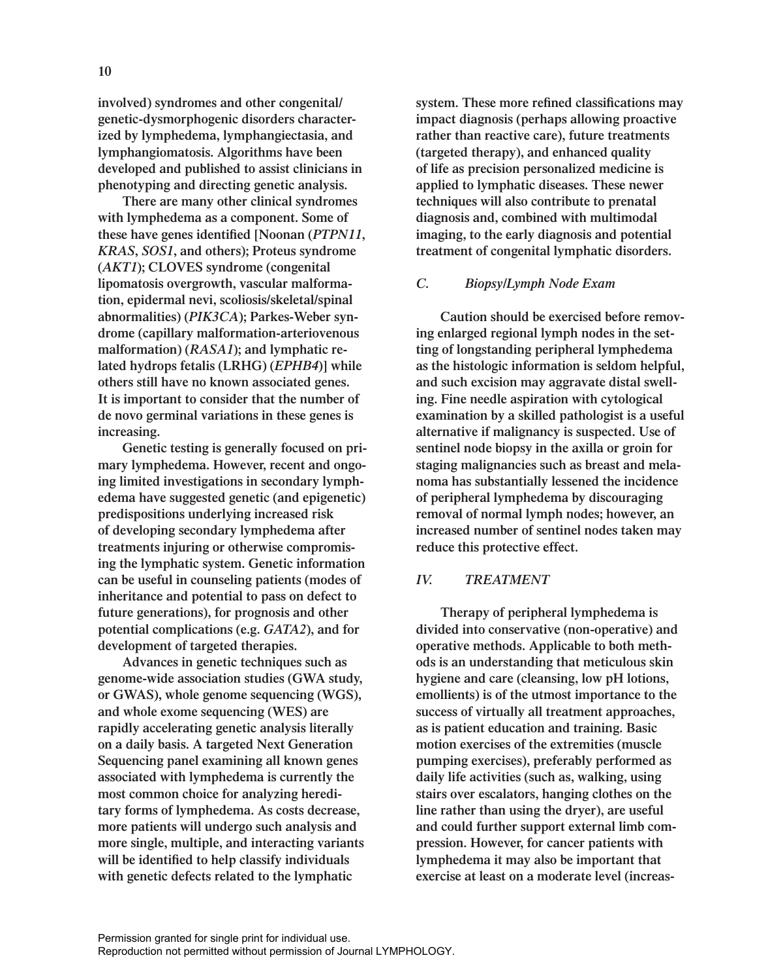**involved) syndromes and other congenital/ genetic-dysmorphogenic disorders characterized by lymphedema, lymphangiectasia, and lymphangiomatosis. Algorithms have been developed and published to assist clinicians in phenotyping and directing genetic analysis.** 

**There are many other clinical syndromes with lymphedema as a component. Some of these have genes identified [Noonan (***PTPN11***,**  *KRAS***,** *SOS1***, and others); Proteus syndrome (***AKT1***); CLOVES syndrome (congenital lipomatosis overgrowth, vascular malformation, epidermal nevi, scoliosis/skeletal/spinal abnormalities) (***PIK3CA***); Parkes-Weber syndrome (capillary malformation-arteriovenous malformation) (***RASA1***); and lymphatic related hydrops fetalis (LRHG) (***EPHB4***)] while others still have no known associated genes. It is important to consider that the number of de novo germinal variations in these genes is increasing.** 

**Genetic testing is generally focused on primary lymphedema. However, recent and ongoing limited investigations in secondary lymphedema have suggested genetic (and epigenetic) predispositions underlying increased risk of developing secondary lymphedema after treatments injuring or otherwise compromising the lymphatic system. Genetic information can be useful in counseling patients (modes of inheritance and potential to pass on defect to future generations), for prognosis and other potential complications (e.g.** *GATA2***), and for development of targeted therapies.** 

**Advances in genetic techniques such as genome-wide association studies (GWA study, or GWAS), whole genome sequencing (WGS), and whole exome sequencing (WES) are rapidly accelerating genetic analysis literally on a daily basis. A targeted Next Generation Sequencing panel examining all known genes associated with lymphedema is currently the most common choice for analyzing hereditary forms of lymphedema. As costs decrease, more patients will undergo such analysis and more single, multiple, and interacting variants will be identified to help classify individuals with genetic defects related to the lymphatic** 

**system. These more refined classifications may impact diagnosis (perhaps allowing proactive rather than reactive care), future treatments (targeted therapy), and enhanced quality of life as precision personalized medicine is applied to lymphatic diseases. These newer techniques will also contribute to prenatal diagnosis and, combined with multimodal imaging, to the early diagnosis and potential treatment of congenital lymphatic disorders.** 

#### *C. Biopsy/Lymph Node Exam*

**Caution should be exercised before removing enlarged regional lymph nodes in the setting of longstanding peripheral lymphedema as the histologic information is seldom helpful, and such excision may aggravate distal swelling. Fine needle aspiration with cytological examination by a skilled pathologist is a useful alternative if malignancy is suspected. Use of sentinel node biopsy in the axilla or groin for staging malignancies such as breast and melanoma has substantially lessened the incidence of peripheral lymphedema by discouraging removal of normal lymph nodes; however, an increased number of sentinel nodes taken may reduce this protective effect.**

# *IV. TREATMENT*

**Therapy of peripheral lymphedema is divided into conservative (non-operative) and operative methods. Applicable to both methods is an understanding that meticulous skin hygiene and care (cleansing, low pH lotions, emollients) is of the utmost importance to the success of virtually all treatment approaches, as is patient education and training. Basic motion exercises of the extremities (muscle pumping exercises), preferably performed as daily life activities (such as, walking, using stairs over escalators, hanging clothes on the line rather than using the dryer), are useful and could further support external limb compression. However, for cancer patients with lymphedema it may also be important that exercise at least on a moderate level (increas-**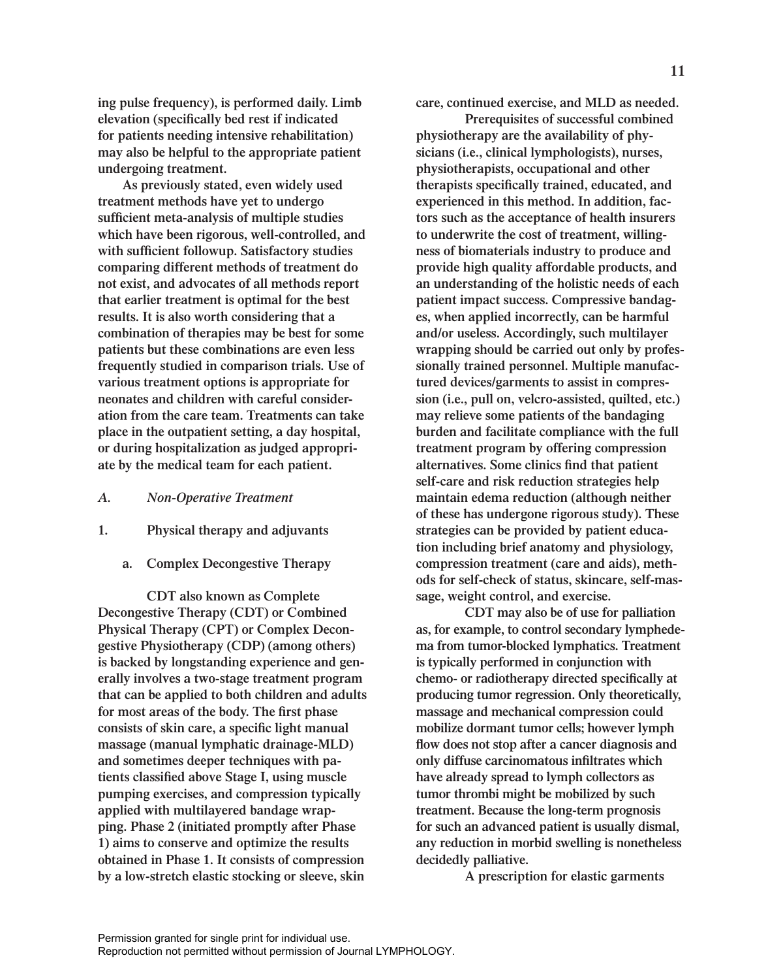**As previously stated, even widely used treatment methods have yet to undergo sufficient meta-analysis of multiple studies which have been rigorous, well-controlled, and with sufficient followup. Satisfactory studies comparing different methods of treatment do not exist, and advocates of all methods report that earlier treatment is optimal for the best results. It is also worth considering that a combination of therapies may be best for some patients but these combinations are even less frequently studied in comparison trials. Use of various treatment options is appropriate for neonates and children with careful consideration from the care team. Treatments can take place in the outpatient setting, a day hospital, or during hospitalization as judged appropriate by the medical team for each patient.** 

# *A. Non-Operative Treatment*

- **1. Physical therapy and adjuvants**
	- **a. Complex Decongestive Therapy**

**CDT also known as Complete Decongestive Therapy (CDT) or Combined Physical Therapy (CPT) or Complex Decongestive Physiotherapy (CDP) (among others) is backed by longstanding experience and generally involves a two-stage treatment program that can be applied to both children and adults for most areas of the body. The first phase consists of skin care, a specific light manual massage (manual lymphatic drainage-MLD) and sometimes deeper techniques with patients classified above Stage I, using muscle pumping exercises, and compression typically applied with multilayered bandage wrapping. Phase 2 (initiated promptly after Phase 1) aims to conserve and optimize the results obtained in Phase 1. It consists of compression by a low-stretch elastic stocking or sleeve, skin** 

**care, continued exercise, and MLD as needed.**

**Prerequisites of successful combined physiotherapy are the availability of physicians (i.e., clinical lymphologists), nurses, physiotherapists, occupational and other therapists specifically trained, educated, and experienced in this method. In addition, factors such as the acceptance of health insurers to underwrite the cost of treatment, willingness of biomaterials industry to produce and provide high quality affordable products, and an understanding of the holistic needs of each patient impact success. Compressive bandages, when applied incorrectly, can be harmful and/or useless. Accordingly, such multilayer wrapping should be carried out only by professionally trained personnel. Multiple manufactured devices/garments to assist in compression (i.e., pull on, velcro-assisted, quilted, etc.) may relieve some patients of the bandaging burden and facilitate compliance with the full treatment program by offering compression alternatives. Some clinics find that patient self-care and risk reduction strategies help maintain edema reduction (although neither of these has undergone rigorous study). These strategies can be provided by patient education including brief anatomy and physiology, compression treatment (care and aids), methods for self-check of status, skincare, self-massage, weight control, and exercise.**

**CDT may also be of use for palliation as, for example, to control secondary lymphedema from tumor-blocked lymphatics. Treatment is typically performed in conjunction with chemo- or radiotherapy directed specifically at producing tumor regression. Only theoretically, massage and mechanical compression could mobilize dormant tumor cells; however lymph flow does not stop after a cancer diagnosis and only diffuse carcinomatous infiltrates which have already spread to lymph collectors as tumor thrombi might be mobilized by such treatment. Because the long-term prognosis for such an advanced patient is usually dismal, any reduction in morbid swelling is nonetheless decidedly palliative.** 

**A prescription for elastic garments**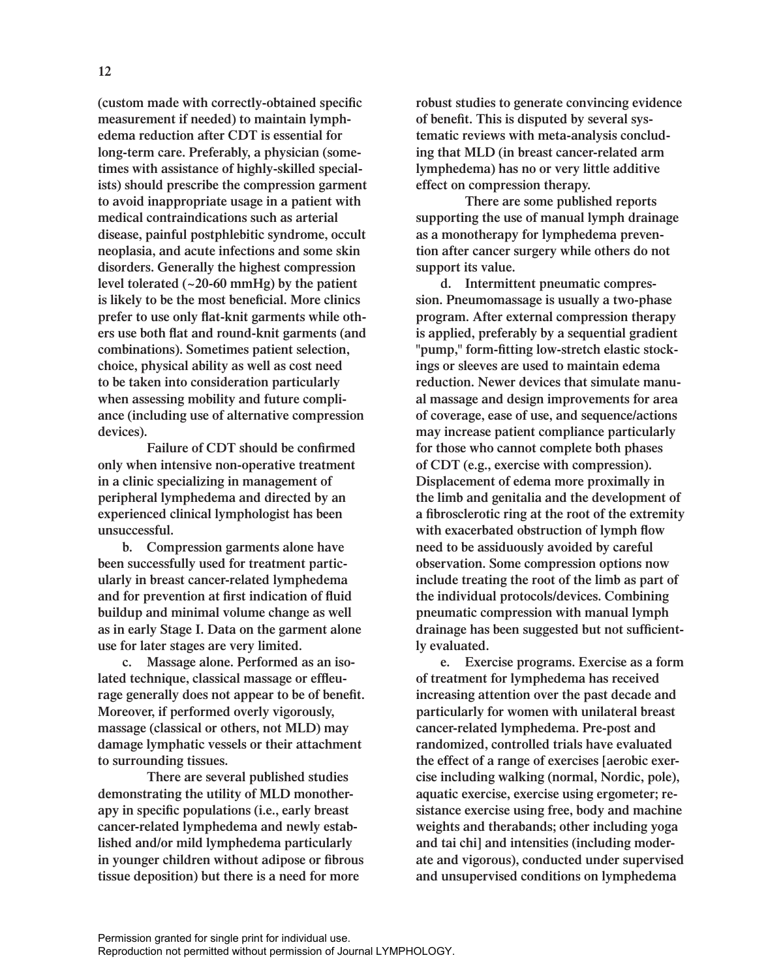**(custom made with correctly-obtained specific measurement if needed) to maintain lymphedema reduction after CDT is essential for long-term care. Preferably, a physician (sometimes with assistance of highly-skilled specialists) should prescribe the compression garment to avoid inappropriate usage in a patient with medical contraindications such as arterial disease, painful postphlebitic syndrome, occult neoplasia, and acute infections and some skin disorders. Generally the highest compression level tolerated (~20-60 mmHg) by the patient is likely to be the most beneficial. More clinics prefer to use only flat-knit garments while others use both flat and round-knit garments (and combinations). Sometimes patient selection, choice, physical ability as well as cost need to be taken into consideration particularly when assessing mobility and future compliance (including use of alternative compression devices).**

**Failure of CDT should be confirmed only when intensive non-operative treatment in a clinic specializing in management of peripheral lymphedema and directed by an experienced clinical lymphologist has been unsuccessful.**

**b. Compression garments alone have been successfully used for treatment particularly in breast cancer-related lymphedema and for prevention at first indication of fluid buildup and minimal volume change as well as in early Stage I. Data on the garment alone use for later stages are very limited.**

**c. Massage alone. Performed as an isolated technique, classical massage or effleurage generally does not appear to be of benefit. Moreover, if performed overly vigorously, massage (classical or others, not MLD) may damage lymphatic vessels or their attachment to surrounding tissues.** 

**There are several published studies demonstrating the utility of MLD monotherapy in specific populations (i.e., early breast cancer-related lymphedema and newly established and/or mild lymphedema particularly in younger children without adipose or fibrous tissue deposition) but there is a need for more** 

**robust studies to generate convincing evidence of benefit. This is disputed by several systematic reviews with meta-analysis concluding that MLD (in breast cancer-related arm lymphedema) has no or very little additive effect on compression therapy.** 

**There are some published reports supporting the use of manual lymph drainage as a monotherapy for lymphedema prevention after cancer surgery while others do not support its value.**

**d. Intermittent pneumatic compression. Pneumomassage is usually a two-phase program. After external compression therapy is applied, preferably by a sequential gradient "pump," form-fitting low-stretch elastic stockings or sleeves are used to maintain edema reduction. Newer devices that simulate manual massage and design improvements for area of coverage, ease of use, and sequence/actions may increase patient compliance particularly for those who cannot complete both phases of CDT (e.g., exercise with compression). Displacement of edema more proximally in the limb and genitalia and the development of a fibrosclerotic ring at the root of the extremity with exacerbated obstruction of lymph flow need to be assiduously avoided by careful observation. Some compression options now include treating the root of the limb as part of the individual protocols/devices. Combining pneumatic compression with manual lymph drainage has been suggested but not sufficiently evaluated.**

**e. Exercise programs. Exercise as a form of treatment for lymphedema has received increasing attention over the past decade and particularly for women with unilateral breast cancer-related lymphedema. Pre-post and randomized, controlled trials have evaluated the effect of a range of exercises [aerobic exercise including walking (normal, Nordic, pole), aquatic exercise, exercise using ergometer; resistance exercise using free, body and machine weights and therabands; other including yoga and tai chi] and intensities (including moderate and vigorous), conducted under supervised and unsupervised conditions on lymphedema**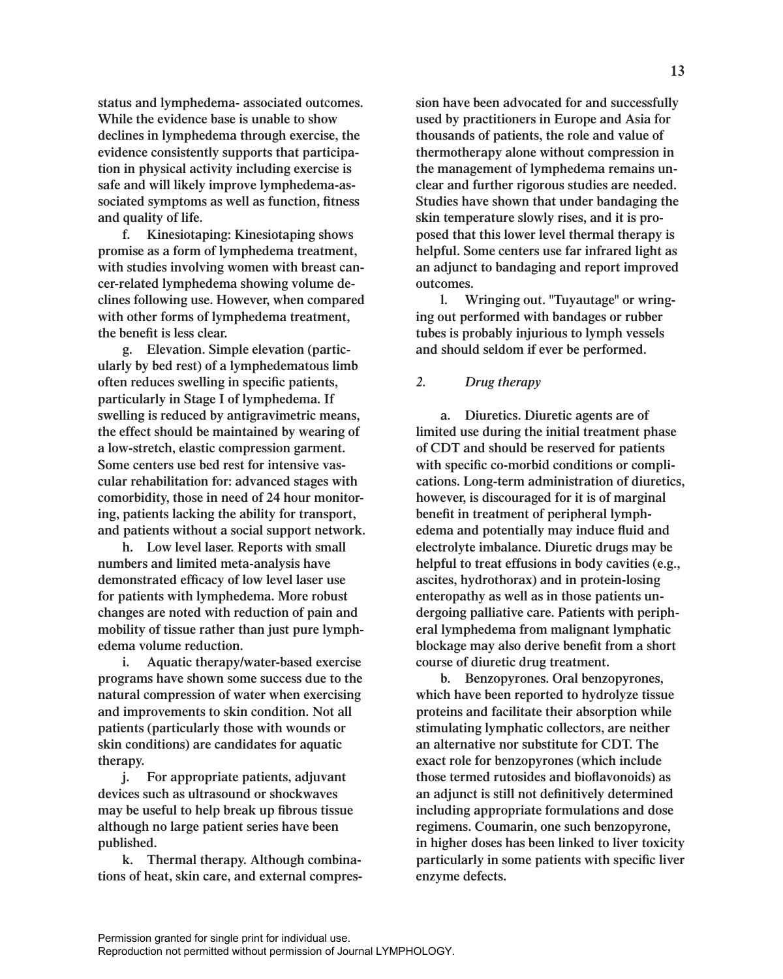**status and lymphedema- associated outcomes. While the evidence base is unable to show declines in lymphedema through exercise, the evidence consistently supports that participation in physical activity including exercise is safe and will likely improve lymphedema-associated symptoms as well as function, fitness and quality of life.**

**f. Kinesiotaping: Kinesiotaping shows promise as a form of lymphedema treatment, with studies involving women with breast cancer-related lymphedema showing volume declines following use. However, when compared with other forms of lymphedema treatment, the benefit is less clear.**

**g. Elevation. Simple elevation (particularly by bed rest) of a lymphedematous limb often reduces swelling in specific patients, particularly in Stage I of lymphedema. If swelling is reduced by antigravimetric means, the effect should be maintained by wearing of a low-stretch, elastic compression garment. Some centers use bed rest for intensive vascular rehabilitation for: advanced stages with comorbidity, those in need of 24 hour monitoring, patients lacking the ability for transport, and patients without a social support network.**

**h. Low level laser. Reports with small numbers and limited meta-analysis have demonstrated efficacy of low level laser use for patients with lymphedema. More robust changes are noted with reduction of pain and mobility of tissue rather than just pure lymphedema volume reduction.**

**i. Aquatic therapy/water-based exercise programs have shown some success due to the natural compression of water when exercising and improvements to skin condition. Not all patients (particularly those with wounds or skin conditions) are candidates for aquatic therapy.** 

**j. For appropriate patients, adjuvant devices such as ultrasound or shockwaves may be useful to help break up fibrous tissue although no large patient series have been published.** 

**k. Thermal therapy. Although combinations of heat, skin care, and external compres-** **sion have been advocated for and successfully used by practitioners in Europe and Asia for thousands of patients, the role and value of thermotherapy alone without compression in the management of lymphedema remains unclear and further rigorous studies are needed. Studies have shown that under bandaging the skin temperature slowly rises, and it is proposed that this lower level thermal therapy is helpful. Some centers use far infrared light as an adjunct to bandaging and report improved outcomes.**

**l. Wringing out. "Tuyautage" or wringing out performed with bandages or rubber tubes is probably injurious to lymph vessels and should seldom if ever be performed.**

# *2. Drug therapy*

**a. Diuretics. Diuretic agents are of limited use during the initial treatment phase of CDT and should be reserved for patients with specific co-morbid conditions or complications. Long-term administration of diuretics, however, is discouraged for it is of marginal benefit in treatment of peripheral lymphedema and potentially may induce fluid and electrolyte imbalance. Diuretic drugs may be helpful to treat effusions in body cavities (e.g., ascites, hydrothorax) and in protein-losing enteropathy as well as in those patients undergoing palliative care. Patients with peripheral lymphedema from malignant lymphatic blockage may also derive benefit from a short course of diuretic drug treatment.**

**b. Benzopyrones. Oral benzopyrones, which have been reported to hydrolyze tissue proteins and facilitate their absorption while stimulating lymphatic collectors, are neither an alternative nor substitute for CDT. The exact role for benzopyrones (which include those termed rutosides and bioflavonoids) as an adjunct is still not definitively determined including appropriate formulations and dose regimens. Coumarin, one such benzopyrone, in higher doses has been linked to liver toxicity particularly in some patients with specific liver enzyme defects.**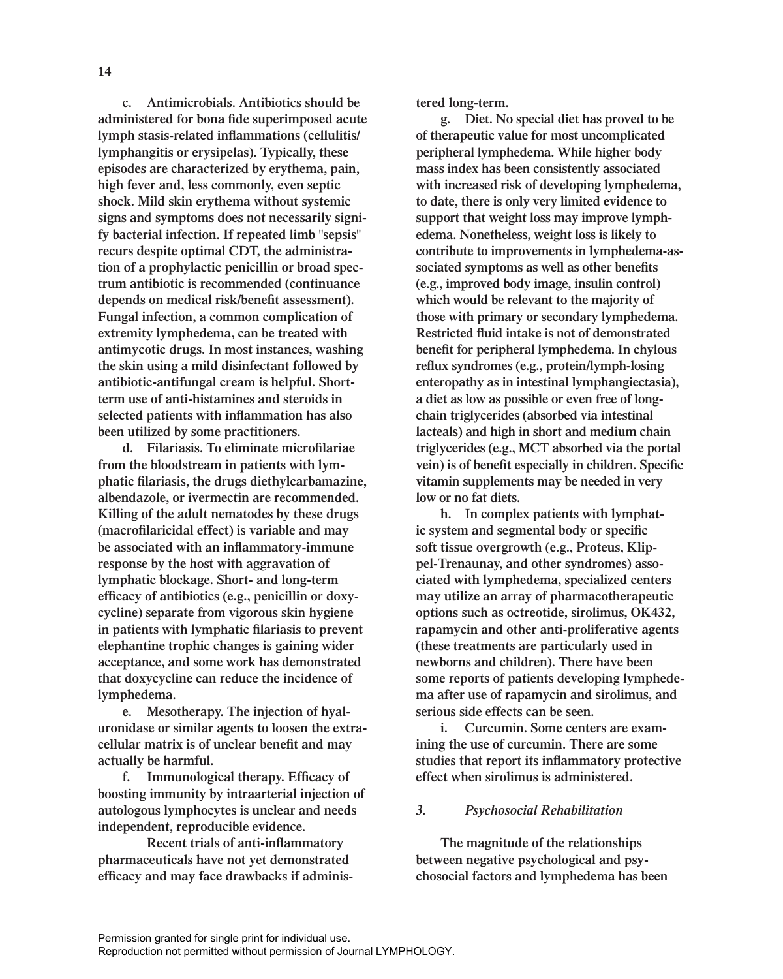**14**

**c. Antimicrobials. Antibiotics should be administered for bona fide superimposed acute lymph stasis-related inflammations (cellulitis/ lymphangitis or erysipelas). Typically, these episodes are characterized by erythema, pain, high fever and, less commonly, even septic shock. Mild skin erythema without systemic signs and symptoms does not necessarily signify bacterial infection. If repeated limb "sepsis" recurs despite optimal CDT, the administration of a prophylactic penicillin or broad spectrum antibiotic is recommended (continuance depends on medical risk/benefit assessment). Fungal infection, a common complication of extremity lymphedema, can be treated with antimycotic drugs. In most instances, washing the skin using a mild disinfectant followed by antibiotic-antifungal cream is helpful. Shortterm use of anti-histamines and steroids in selected patients with inflammation has also been utilized by some practitioners.**

**d. Filariasis. To eliminate microfilariae from the bloodstream in patients with lymphatic filariasis, the drugs diethylcarbamazine, albendazole, or ivermectin are recommended. Killing of the adult nematodes by these drugs (macrofilaricidal effect) is variable and may be associated with an inflammatory-immune response by the host with aggravation of lymphatic blockage. Short- and long-term efficacy of antibiotics (e.g., penicillin or doxycycline) separate from vigorous skin hygiene in patients with lymphatic filariasis to prevent elephantine trophic changes is gaining wider acceptance, and some work has demonstrated that doxycycline can reduce the incidence of lymphedema.**

**e. Mesotherapy. The injection of hyaluronidase or similar agents to loosen the extracellular matrix is of unclear benefit and may actually be harmful.**

**f. Immunological therapy. Efficacy of boosting immunity by intraarterial injection of autologous lymphocytes is unclear and needs independent, reproducible evidence.** 

**Recent trials of anti-inflammatory pharmaceuticals have not yet demonstrated efficacy and may face drawbacks if adminis-** **tered long-term.**

**g. Diet. No special diet has proved to be of therapeutic value for most uncomplicated peripheral lymphedema. While higher body mass index has been consistently associated with increased risk of developing lymphedema, to date, there is only very limited evidence to support that weight loss may improve lymphedema. Nonetheless, weight loss is likely to contribute to improvements in lymphedema-associated symptoms as well as other benefits (e.g., improved body image, insulin control) which would be relevant to the majority of those with primary or secondary lymphedema. Restricted fluid intake is not of demonstrated benefit for peripheral lymphedema. In chylous reflux syndromes (e.g., protein/lymph-losing enteropathy as in intestinal lymphangiectasia), a diet as low as possible or even free of longchain triglycerides (absorbed via intestinal lacteals) and high in short and medium chain triglycerides (e.g., MCT absorbed via the portal vein) is of benefit especially in children. Specific vitamin supplements may be needed in very low or no fat diets.** 

**h. In complex patients with lymphatic system and segmental body or specific soft tissue overgrowth (e.g., Proteus, Klippel-Trenaunay, and other syndromes) associated with lymphedema, specialized centers may utilize an array of pharmacotherapeutic options such as octreotide, sirolimus, OK432, rapamycin and other anti-proliferative agents (these treatments are particularly used in newborns and children). There have been some reports of patients developing lymphedema after use of rapamycin and sirolimus, and serious side effects can be seen.**

**i. Curcumin. Some centers are examining the use of curcumin. There are some studies that report its inflammatory protective effect when sirolimus is administered.**

# *3. Psychosocial Rehabilitation*

**The magnitude of the relationships between negative psychological and psychosocial factors and lymphedema has been**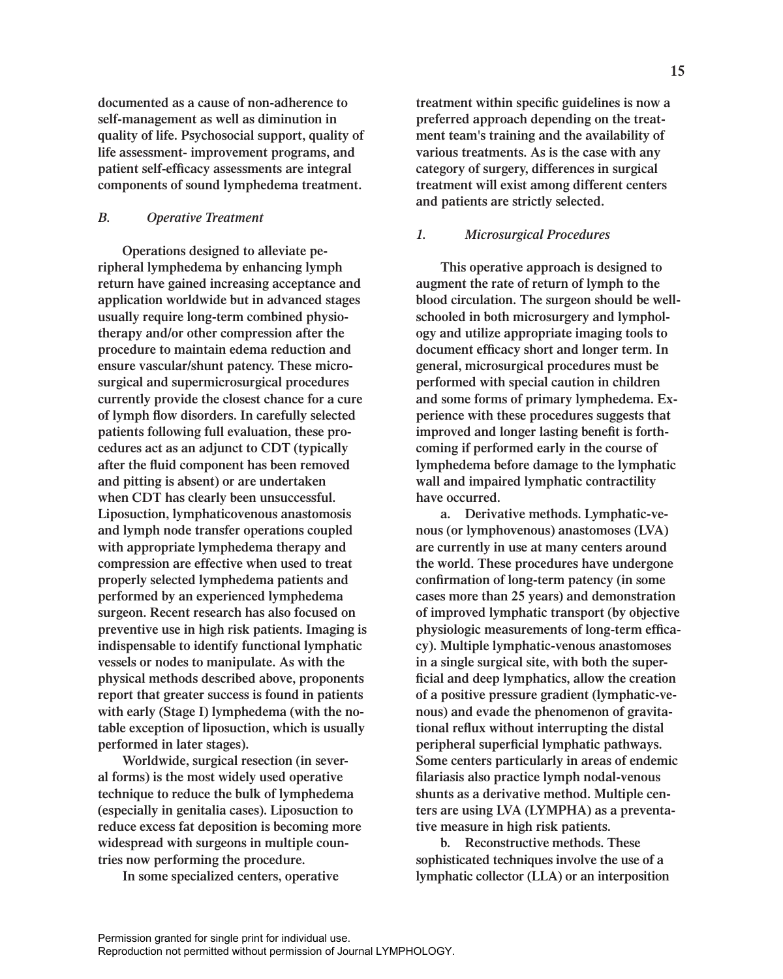**documented as a cause of non-adherence to self-management as well as diminution in quality of life. Psychosocial support, quality of life assessment- improvement programs, and patient self-efficacy assessments are integral components of sound lymphedema treatment.**

### *B. Operative Treatment*

**Operations designed to alleviate peripheral lymphedema by enhancing lymph return have gained increasing acceptance and application worldwide but in advanced stages usually require long-term combined physiotherapy and/or other compression after the procedure to maintain edema reduction and ensure vascular/shunt patency. These microsurgical and supermicrosurgical procedures currently provide the closest chance for a cure of lymph flow disorders. In carefully selected patients following full evaluation, these procedures act as an adjunct to CDT (typically after the fluid component has been removed and pitting is absent) or are undertaken when CDT has clearly been unsuccessful. Liposuction, lymphaticovenous anastomosis and lymph node transfer operations coupled with appropriate lymphedema therapy and compression are effective when used to treat properly selected lymphedema patients and performed by an experienced lymphedema surgeon. Recent research has also focused on preventive use in high risk patients. Imaging is indispensable to identify functional lymphatic vessels or nodes to manipulate. As with the physical methods described above, proponents report that greater success is found in patients with early (Stage I) lymphedema (with the notable exception of liposuction, which is usually performed in later stages).** 

**Worldwide, surgical resection (in several forms) is the most widely used operative technique to reduce the bulk of lymphedema (especially in genitalia cases). Liposuction to reduce excess fat deposition is becoming more widespread with surgeons in multiple countries now performing the procedure.** 

**In some specialized centers, operative** 

**treatment within specific guidelines is now a preferred approach depending on the treatment team's training and the availability of various treatments. As is the case with any category of surgery, differences in surgical treatment will exist among different centers and patients are strictly selected.**

#### *1. Microsurgical Procedures*

**This operative approach is designed to augment the rate of return of lymph to the blood circulation. The surgeon should be wellschooled in both microsurgery and lymphology and utilize appropriate imaging tools to document efficacy short and longer term. In general, microsurgical procedures must be performed with special caution in children and some forms of primary lymphedema. Experience with these procedures suggests that improved and longer lasting benefit is forthcoming if performed early in the course of lymphedema before damage to the lymphatic wall and impaired lymphatic contractility have occurred.**

**a. Derivative methods. Lymphatic-venous (or lymphovenous) anastomoses (LVA) are currently in use at many centers around the world. These procedures have undergone confirmation of long-term patency (in some cases more than 25 years) and demonstration of improved lymphatic transport (by objective physiologic measurements of long-term efficacy). Multiple lymphatic-venous anastomoses in a single surgical site, with both the superficial and deep lymphatics, allow the creation of a positive pressure gradient (lymphatic-venous) and evade the phenomenon of gravitational reflux without interrupting the distal peripheral superficial lymphatic pathways. Some centers particularly in areas of endemic filariasis also practice lymph nodal-venous shunts as a derivative method. Multiple centers are using LVA (LYMPHA) as a preventative measure in high risk patients.**

**b. Reconstructive methods. These sophisticated techniques involve the use of a lymphatic collector (LLA) or an interposition**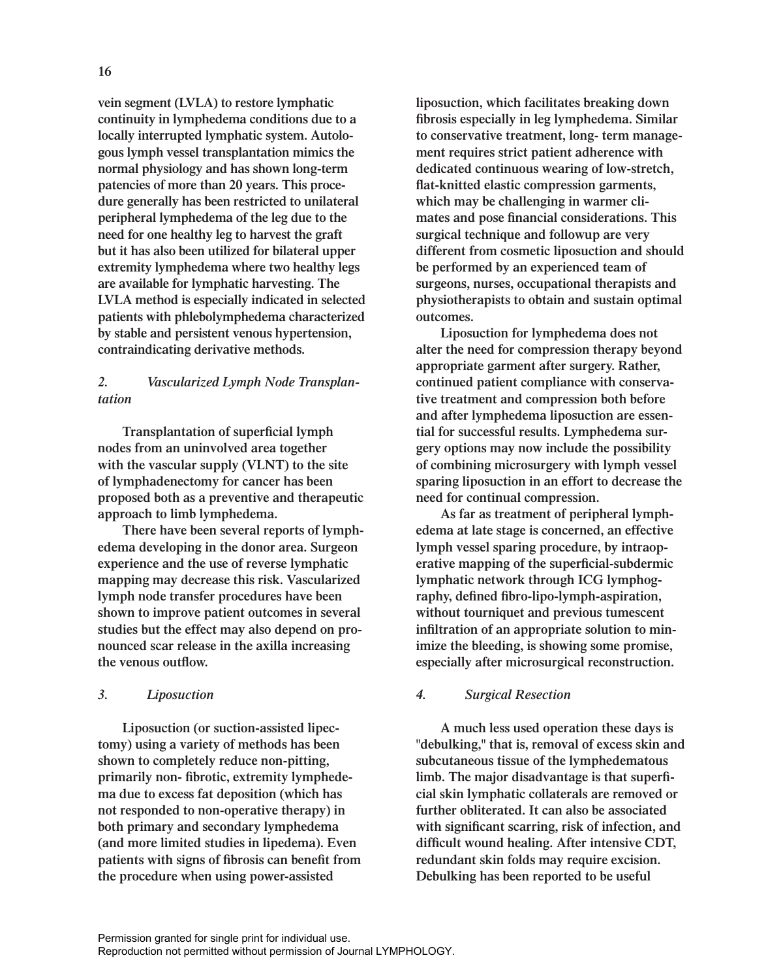**vein segment (LVLA) to restore lymphatic continuity in lymphedema conditions due to a locally interrupted lymphatic system. Autologous lymph vessel transplantation mimics the normal physiology and has shown long-term patencies of more than 20 years. This procedure generally has been restricted to unilateral peripheral lymphedema of the leg due to the need for one healthy leg to harvest the graft but it has also been utilized for bilateral upper extremity lymphedema where two healthy legs are available for lymphatic harvesting. The LVLA method is especially indicated in selected patients with phlebolymphedema characterized by stable and persistent venous hypertension, contraindicating derivative methods.** 

# *2. Vascularized Lymph Node Transplantation*

**Transplantation of superficial lymph nodes from an uninvolved area together with the vascular supply (VLNT) to the site of lymphadenectomy for cancer has been proposed both as a preventive and therapeutic approach to limb lymphedema.**

**There have been several reports of lymphedema developing in the donor area. Surgeon experience and the use of reverse lymphatic mapping may decrease this risk. Vascularized lymph node transfer procedures have been shown to improve patient outcomes in several studies but the effect may also depend on pronounced scar release in the axilla increasing the venous outflow.**

# *3. Liposuction*

**Liposuction (or suction-assisted lipectomy) using a variety of methods has been shown to completely reduce non-pitting, primarily non- fibrotic, extremity lymphedema due to excess fat deposition (which has not responded to non-operative therapy) in both primary and secondary lymphedema (and more limited studies in lipedema). Even patients with signs of fibrosis can benefit from the procedure when using power-assisted** 

**liposuction, which facilitates breaking down fibrosis especially in leg lymphedema. Similar to conservative treatment, long- term management requires strict patient adherence with dedicated continuous wearing of low-stretch, flat-knitted elastic compression garments, which may be challenging in warmer climates and pose financial considerations. This surgical technique and followup are very different from cosmetic liposuction and should be performed by an experienced team of surgeons, nurses, occupational therapists and physiotherapists to obtain and sustain optimal outcomes.** 

**Liposuction for lymphedema does not alter the need for compression therapy beyond appropriate garment after surgery. Rather, continued patient compliance with conservative treatment and compression both before and after lymphedema liposuction are essential for successful results. Lymphedema surgery options may now include the possibility of combining microsurgery with lymph vessel sparing liposuction in an effort to decrease the need for continual compression.**

**As far as treatment of peripheral lymphedema at late stage is concerned, an effective lymph vessel sparing procedure, by intraoperative mapping of the superficial-subdermic lymphatic network through ICG lymphography, defined fibro-lipo-lymph-aspiration, without tourniquet and previous tumescent infiltration of an appropriate solution to minimize the bleeding, is showing some promise, especially after microsurgical reconstruction.**

# *4. Surgical Resection*

**A much less used operation these days is "debulking," that is, removal of excess skin and subcutaneous tissue of the lymphedematous limb. The major disadvantage is that superficial skin lymphatic collaterals are removed or further obliterated. It can also be associated with significant scarring, risk of infection, and difficult wound healing. After intensive CDT, redundant skin folds may require excision. Debulking has been reported to be useful**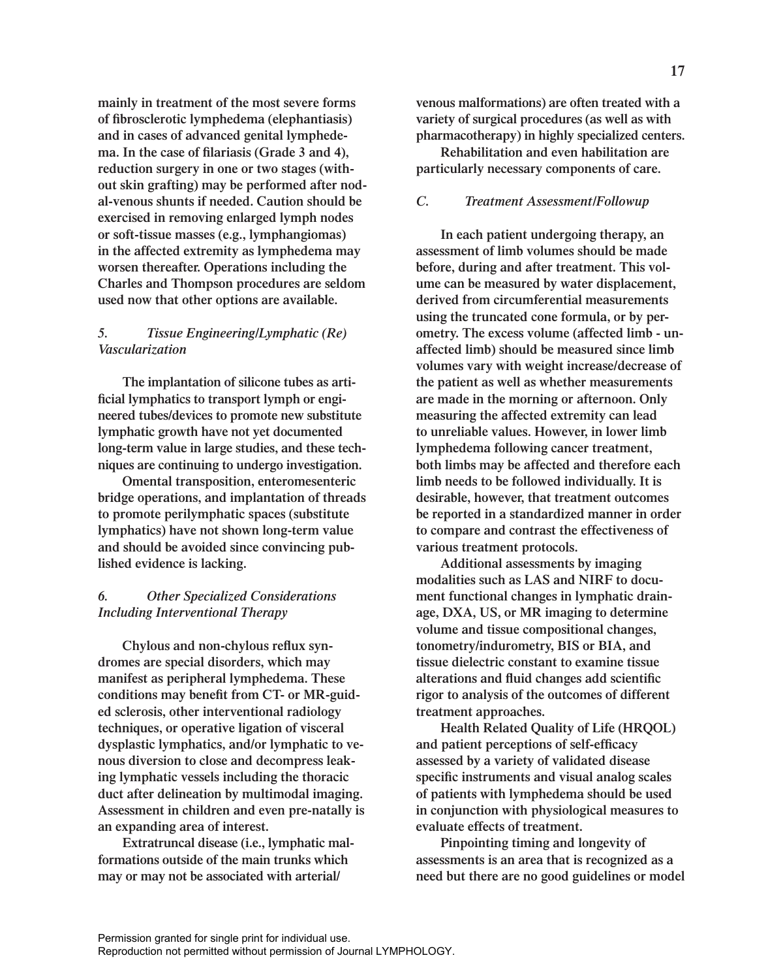**mainly in treatment of the most severe forms of fibrosclerotic lymphedema (elephantiasis) and in cases of advanced genital lymphedema. In the case of filariasis (Grade 3 and 4), reduction surgery in one or two stages (without skin grafting) may be performed after nodal-venous shunts if needed. Caution should be exercised in removing enlarged lymph nodes or soft-tissue masses (e.g., lymphangiomas) in the affected extremity as lymphedema may worsen thereafter. Operations including the Charles and Thompson procedures are seldom used now that other options are available.**

# *5. Tissue Engineering/Lymphatic (Re) Vascularization*

**The implantation of silicone tubes as artificial lymphatics to transport lymph or engineered tubes/devices to promote new substitute lymphatic growth have not yet documented long-term value in large studies, and these techniques are continuing to undergo investigation.**

**Omental transposition, enteromesenteric bridge operations, and implantation of threads to promote perilymphatic spaces (substitute lymphatics) have not shown long-term value and should be avoided since convincing published evidence is lacking.**

# *6. Other Specialized Considerations Including Interventional Therapy*

**Chylous and non-chylous reflux syndromes are special disorders, which may manifest as peripheral lymphedema. These conditions may benefit from CT- or MR-guided sclerosis, other interventional radiology techniques, or operative ligation of visceral dysplastic lymphatics, and/or lymphatic to venous diversion to close and decompress leaking lymphatic vessels including the thoracic duct after delineation by multimodal imaging. Assessment in children and even pre-natally is an expanding area of interest.**

**Extratruncal disease (i.e., lymphatic malformations outside of the main trunks which may or may not be associated with arterial/**

**venous malformations) are often treated with a variety of surgical procedures (as well as with pharmacotherapy) in highly specialized centers.**

**Rehabilitation and even habilitation are particularly necessary components of care.**

# *C. Treatment Assessment/Followup*

**In each patient undergoing therapy, an assessment of limb volumes should be made before, during and after treatment. This volume can be measured by water displacement, derived from circumferential measurements using the truncated cone formula, or by perometry. The excess volume (affected limb - unaffected limb) should be measured since limb volumes vary with weight increase/decrease of the patient as well as whether measurements are made in the morning or afternoon. Only measuring the affected extremity can lead to unreliable values. However, in lower limb lymphedema following cancer treatment, both limbs may be affected and therefore each limb needs to be followed individually. It is desirable, however, that treatment outcomes be reported in a standardized manner in order to compare and contrast the effectiveness of various treatment protocols.**

**Additional assessments by imaging modalities such as LAS and NIRF to document functional changes in lymphatic drainage, DXA, US, or MR imaging to determine volume and tissue compositional changes, tonometry/indurometry, BIS or BIA, and tissue dielectric constant to examine tissue alterations and fluid changes add scientific rigor to analysis of the outcomes of different treatment approaches.** 

**Health Related Quality of Life (HRQOL) and patient perceptions of self-efficacy assessed by a variety of validated disease specific instruments and visual analog scales of patients with lymphedema should be used in conjunction with physiological measures to evaluate effects of treatment.** 

**Pinpointing timing and longevity of assessments is an area that is recognized as a need but there are no good guidelines or model**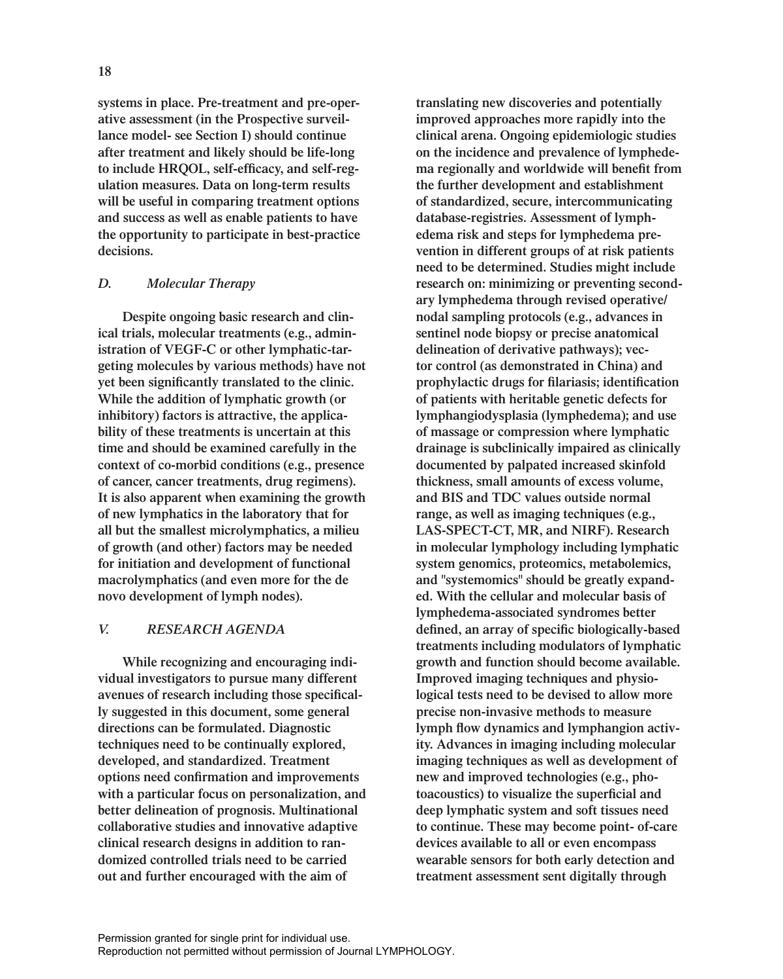**systems in place. Pre-treatment and pre-operative assessment (in the Prospective surveillance model- see Section I) should continue after treatment and likely should be life-long to include HRQOL, self-efficacy, and self-regulation measures. Data on long-term results will be useful in comparing treatment options and success as well as enable patients to have the opportunity to participate in best-practice decisions.** 

# *D. Molecular Therapy*

**Despite ongoing basic research and clinical trials, molecular treatments (e.g., administration of VEGF-C or other lymphatic-targeting molecules by various methods) have not yet been significantly translated to the clinic. While the addition of lymphatic growth (or inhibitory) factors is attractive, the applicability of these treatments is uncertain at this time and should be examined carefully in the context of co-morbid conditions (e.g., presence of cancer, cancer treatments, drug regimens). It is also apparent when examining the growth of new lymphatics in the laboratory that for all but the smallest microlymphatics, a milieu of growth (and other) factors may be needed for initiation and development of functional macrolymphatics (and even more for the de novo development of lymph nodes).**

# *V. RESEARCH AGENDA*

**While recognizing and encouraging individual investigators to pursue many different avenues of research including those specifically suggested in this document, some general directions can be formulated. Diagnostic techniques need to be continually explored, developed, and standardized. Treatment options need confirmation and improvements with a particular focus on personalization, and better delineation of prognosis. Multinational collaborative studies and innovative adaptive clinical research designs in addition to randomized controlled trials need to be carried out and further encouraged with the aim of** 

**translating new discoveries and potentially improved approaches more rapidly into the clinical arena. Ongoing epidemiologic studies on the incidence and prevalence of lymphedema regionally and worldwide will benefit from the further development and establishment of standardized, secure, intercommunicating database-registries. Assessment of lymphedema risk and steps for lymphedema prevention in different groups of at risk patients need to be determined. Studies might include research on: minimizing or preventing secondary lymphedema through revised operative/ nodal sampling protocols (e.g., advances in sentinel node biopsy or precise anatomical delineation of derivative pathways); vector control (as demonstrated in China) and prophylactic drugs for filariasis; identification of patients with heritable genetic defects for lymphangiodysplasia (lymphedema); and use of massage or compression where lymphatic drainage is subclinically impaired as clinically documented by palpated increased skinfold thickness, small amounts of excess volume, and BIS and TDC values outside normal range, as well as imaging techniques (e.g., LAS-SPECT-CT, MR, and NIRF). Research in molecular lymphology including lymphatic system genomics, proteomics, metabolemics, and "systemomics" should be greatly expanded. With the cellular and molecular basis of lymphedema-associated syndromes better defined, an array of specific biologically-based treatments including modulators of lymphatic growth and function should become available. Improved imaging techniques and physiological tests need to be devised to allow more precise non-invasive methods to measure lymph flow dynamics and lymphangion activity. Advances in imaging including molecular imaging techniques as well as development of new and improved technologies (e.g., photoacoustics) to visualize the superficial and deep lymphatic system and soft tissues need to continue. These may become point- of-care devices available to all or even encompass wearable sensors for both early detection and treatment assessment sent digitally through**